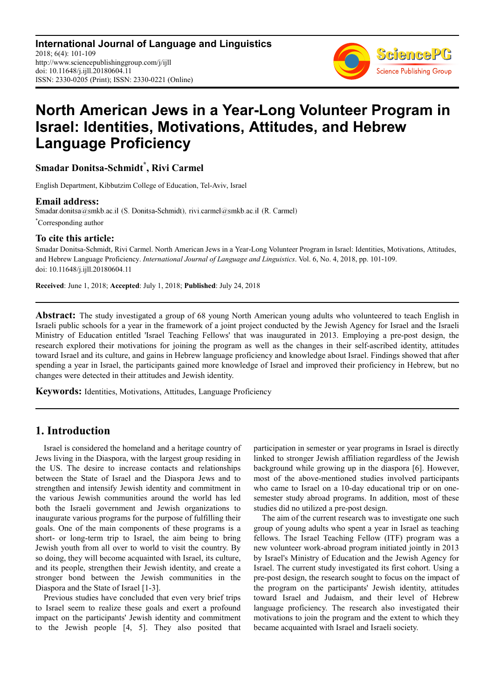**International Journal of Language and Linguistics** 2018; 6(4): 101-109 http://www.sciencepublishinggroup.com/j/ijll doi: 10.11648/j.ijll.20180604.11 ISSN: 2330-0205 (Print); ISSN: 2330-0221 (Online)



# **North American Jews in a Year-Long Volunteer Program in Israel: Identities, Motivations, Attitudes, and Hebrew Language Proficiency**

**Smadar Donitsa-Schmidt\* , Rivi Carmel** 

English Department, Kibbutzim College of Education, Tel-Aviv, Israel

**Email address:**<br>Smadar.donitsa@smkb.ac.il (S. Donitsa-Schmidt), rivi.carmel@smkb.ac.il (R. Carmel) \*Corresponding author

## **To cite this article:**

Smadar Donitsa-Schmidt, Rivi Carmel. North American Jews in a Year-Long Volunteer Program in Israel: Identities, Motivations, Attitudes, and Hebrew Language Proficiency. *International Journal of Language and Linguistics*. Vol. 6, No. 4, 2018, pp. 101-109. doi: 10.11648/j.ijll.20180604.11

**Received**: June 1, 2018; **Accepted**: July 1, 2018; **Published**: July 24, 2018

**Abstract:** The study investigated a group of 68 young North American young adults who volunteered to teach English in Israeli public schools for a year in the framework of a joint project conducted by the Jewish Agency for Israel and the Israeli Ministry of Education entitled 'Israel Teaching Fellows' that was inaugurated in 2013. Employing a pre-post design, the research explored their motivations for joining the program as well as the changes in their self-ascribed identity, attitudes toward Israel and its culture, and gains in Hebrew language proficiency and knowledge about Israel. Findings showed that after spending a year in Israel, the participants gained more knowledge of Israel and improved their proficiency in Hebrew, but no changes were detected in their attitudes and Jewish identity.

**Keywords:** Identities, Motivations, Attitudes, Language Proficiency

### **1. Introduction**

Israel is considered the homeland and a heritage country of Jews living in the Diaspora, with the largest group residing in the US. The desire to increase contacts and relationships between the State of Israel and the Diaspora Jews and to strengthen and intensify Jewish identity and commitment in the various Jewish communities around the world has led both the Israeli government and Jewish organizations to inaugurate various programs for the purpose of fulfilling their goals. One of the main components of these programs is a short- or long-term trip to Israel, the aim being to bring Jewish youth from all over to world to visit the country. By so doing, they will become acquainted with Israel, its culture, and its people, strengthen their Jewish identity, and create a stronger bond between the Jewish communities in the Diaspora and the State of Israel [1-3].

Previous studies have concluded that even very brief trips to Israel seem to realize these goals and exert a profound impact on the participants' Jewish identity and commitment to the Jewish people [4, 5]. They also posited that participation in semester or year programs in Israel is directly linked to stronger Jewish affiliation regardless of the Jewish background while growing up in the diaspora [6]. However, most of the above-mentioned studies involved participants who came to Israel on a 10-day educational trip or on onesemester study abroad programs. In addition, most of these studies did no utilized a pre-post design.

The aim of the current research was to investigate one such group of young adults who spent a year in Israel as teaching fellows. The Israel Teaching Fellow (ITF) program was a new volunteer work-abroad program initiated jointly in 2013 by Israel's Ministry of Education and the Jewish Agency for Israel. The current study investigated its first cohort. Using a pre-post design, the research sought to focus on the impact of the program on the participants' Jewish identity, attitudes toward Israel and Judaism, and their level of Hebrew language proficiency. The research also investigated their motivations to join the program and the extent to which they became acquainted with Israel and Israeli society.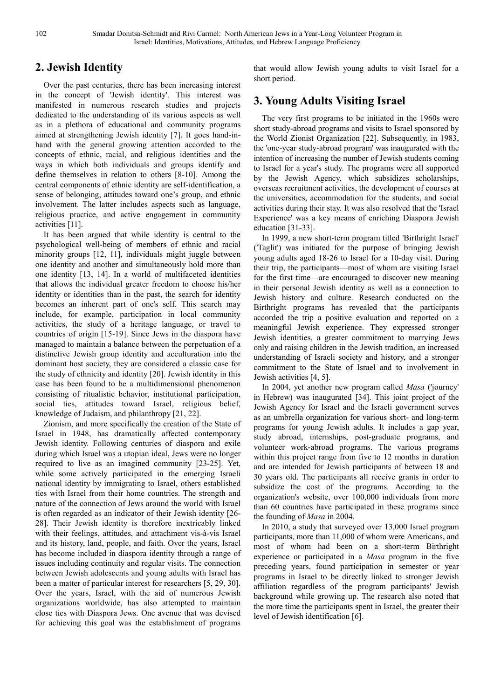## **2. Jewish Identity**

Over the past centuries, there has been increasing interest in the concept of 'Jewish identity'. This interest was manifested in numerous research studies and projects dedicated to the understanding of its various aspects as well as in a plethora of educational and community programs aimed at strengthening Jewish identity [7]. It goes hand-inhand with the general growing attention accorded to the concepts of ethnic, racial, and religious identities and the ways in which both individuals and groups identify and define themselves in relation to others [8-10]. Among the central components of ethnic identity are self-identification, a sense of belonging, attitudes toward one's group, and ethnic involvement. The latter includes aspects such as language, religious practice, and active engagement in community activities [11].

It has been argued that while identity is central to the psychological well-being of members of ethnic and racial minority groups [12, 11], individuals might juggle between one identity and another and simultaneously hold more than one identity [13, 14]. In a world of multifaceted identities that allows the individual greater freedom to choose his/her identity or identities than in the past, the search for identity becomes an inherent part of one's self. This search may include, for example, participation in local community activities, the study of a heritage language, or travel to countries of origin [15-19]. Since Jews in the diaspora have managed to maintain a balance between the perpetuation of a distinctive Jewish group identity and acculturation into the dominant host society, they are considered a classic case for the study of ethnicity and identity [20]. Jewish identity in this case has been found to be a multidimensional phenomenon consisting of ritualistic behavior, institutional participation, social ties, attitudes toward Israel, religious belief, knowledge of Judaism, and philanthropy [21, 22].

Zionism, and more specifically the creation of the State of Israel in 1948, has dramatically affected contemporary Jewish identity. Following centuries of diaspora and exile during which Israel was a utopian ideal, Jews were no longer required to live as an imagined community [23-25]. Yet, while some actively participated in the emerging Israeli national identity by immigrating to Israel, others established ties with Israel from their home countries. The strength and nature of the connection of Jews around the world with Israel is often regarded as an indicator of their Jewish identity [26- 28]. Their Jewish identity is therefore inextricably linked with their feelings, attitudes, and attachment vis-à-vis Israel and its history, land, people, and faith. Over the years, Israel has become included in diaspora identity through a range of issues including continuity and regular visits. The connection between Jewish adolescents and young adults with Israel has been a matter of particular interest for researchers [5, 29, 30]. Over the years, Israel, with the aid of numerous Jewish organizations worldwide, has also attempted to maintain close ties with Diaspora Jews. One avenue that was devised for achieving this goal was the establishment of programs

that would allow Jewish young adults to visit Israel for a short period.

## **3. Young Adults Visiting Israel**

The very first programs to be initiated in the 1960s were short study-abroad programs and visits to Israel sponsored by the World Zionist Organization [22]. Subsequently, in 1983, the 'one-year study-abroad program' was inaugurated with the intention of increasing the number of Jewish students coming to Israel for a year's study. The programs were all supported by the Jewish Agency, which subsidizes scholarships, overseas recruitment activities, the development of courses at the universities, accommodation for the students, and social activities during their stay. It was also resolved that the 'Israel Experience' was a key means of enriching Diaspora Jewish education [31-33].

In 1999, a new short-term program titled 'Birthright Israel' ('Taglit') was initiated for the purpose of bringing Jewish young adults aged 18-26 to Israel for a 10-day visit. During their trip, the participants—most of whom are visiting Israel for the first time—are encouraged to discover new meaning in their personal Jewish identity as well as a connection to Jewish history and culture. Research conducted on the Birthright programs has revealed that the participants accorded the trip a positive evaluation and reported on a meaningful Jewish experience. They expressed stronger Jewish identities, a greater commitment to marrying Jews only and raising children in the Jewish tradition, an increased understanding of Israeli society and history, and a stronger commitment to the State of Israel and to involvement in Jewish activities [4, 5].

In 2004, yet another new program called *Masa* ('journey' in Hebrew) was inaugurated [34]. This joint project of the Jewish Agency for Israel and the Israeli government serves as an umbrella organization for various short- and long-term programs for young Jewish adults. It includes a gap year, study abroad, internships, post-graduate programs, and volunteer work-abroad programs. The various programs within this project range from five to 12 months in duration and are intended for Jewish participants of between 18 and 30 years old. The participants all receive grants in order to subsidize the cost of the programs. According to the organization's website, over 100,000 individuals from more than 60 countries have participated in these programs since the founding of *Masa* in 2004.

In 2010, a study that surveyed over 13,000 Israel program participants, more than 11,000 of whom were Americans, and most of whom had been on a short-term Birthright experience or participated in a *Masa* program in the five preceding years, found participation in semester or year programs in Israel to be directly linked to stronger Jewish affiliation regardless of the program participants' Jewish background while growing up. The research also noted that the more time the participants spent in Israel, the greater their level of Jewish identification [6].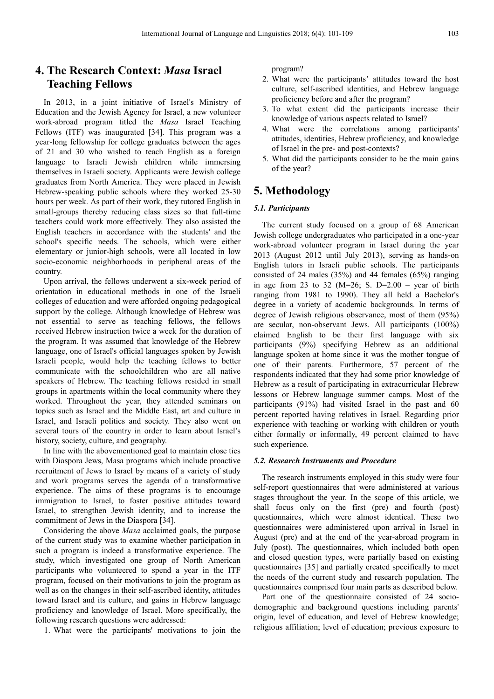## **4. The Research Context:** *Masa* **Israel Teaching Fellows**

In 2013, in a joint initiative of Israel's Ministry of Education and the Jewish Agency for Israel, a new volunteer work-abroad program titled the *Masa* Israel Teaching Fellows (ITF) was inaugurated [34]. This program was a year-long fellowship for college graduates between the ages of 21 and 30 who wished to teach English as a foreign language to Israeli Jewish children while immersing themselves in Israeli society. Applicants were Jewish college graduates from North America. They were placed in Jewish Hebrew-speaking public schools where they worked 25-30 hours per week. As part of their work, they tutored English in small-groups thereby reducing class sizes so that full-time teachers could work more effectively. They also assisted the English teachers in accordance with the students' and the school's specific needs. The schools, which were either elementary or junior-high schools, were all located in low socio-economic neighborhoods in peripheral areas of the country.

Upon arrival, the fellows underwent a six-week period of orientation in educational methods in one of the Israeli colleges of education and were afforded ongoing pedagogical support by the college. Although knowledge of Hebrew was not essential to serve as teaching fellows, the fellows received Hebrew instruction twice a week for the duration of the program. It was assumed that knowledge of the Hebrew language, one of Israel's official languages spoken by Jewish Israeli people, would help the teaching fellows to better communicate with the schoolchildren who are all native speakers of Hebrew. The teaching fellows resided in small groups in apartments within the local community where they worked. Throughout the year, they attended seminars on topics such as Israel and the Middle East, art and culture in Israel, and Israeli politics and society. They also went on several tours of the country in order to learn about Israel's history, society, culture, and geography.

In line with the abovementioned goal to maintain close ties with Diaspora Jews, Masa programs which include proactive recruitment of Jews to Israel by means of a variety of study and work programs serves the agenda of a transformative experience. The aims of these programs is to encourage immigration to Israel, to foster positive attitudes toward Israel, to strengthen Jewish identity, and to increase the commitment of Jews in the Diaspora [34].

Considering the above *Masa* acclaimed goals, the purpose of the current study was to examine whether participation in such a program is indeed a transformative experience. The study, which investigated one group of North American participants who volunteered to spend a year in the ITF program, focused on their motivations to join the program as well as on the changes in their self-ascribed identity, attitudes toward Israel and its culture, and gains in Hebrew language proficiency and knowledge of Israel. More specifically, the following research questions were addressed:

1. What were the participants' motivations to join the

program?

- 2. What were the participants' attitudes toward the host culture, self-ascribed identities, and Hebrew language proficiency before and after the program?
- 3. To what extent did the participants increase their knowledge of various aspects related to Israel?
- 4. What were the correlations among participants' attitudes, identities, Hebrew proficiency, and knowledge of Israel in the pre- and post-contexts?
- 5. What did the participants consider to be the main gains of the year?

#### **5. Methodology**

#### *5.1. Participants*

The current study focused on a group of 68 American Jewish college undergraduates who participated in a one-year work-abroad volunteer program in Israel during the year 2013 (August 2012 until July 2013), serving as hands-on English tutors in Israeli public schools. The participants consisted of 24 males (35%) and 44 females (65%) ranging in age from 23 to 32 ( $M=26$ ; S. D=2.00 – year of birth ranging from 1981 to 1990). They all held a Bachelor's degree in a variety of academic backgrounds. In terms of degree of Jewish religious observance, most of them (95%) are secular, non-observant Jews. All participants (100%) claimed English to be their first language with six participants (9%) specifying Hebrew as an additional language spoken at home since it was the mother tongue of one of their parents. Furthermore, 57 percent of the respondents indicated that they had some prior knowledge of Hebrew as a result of participating in extracurricular Hebrew lessons or Hebrew language summer camps. Most of the participants (91%) had visited Israel in the past and 60 percent reported having relatives in Israel. Regarding prior experience with teaching or working with children or youth either formally or informally, 49 percent claimed to have such experience.

#### *5.2. Research Instruments and Procedure*

The research instruments employed in this study were four self-report questionnaires that were administered at various stages throughout the year. In the scope of this article, we shall focus only on the first (pre) and fourth (post) questionnaires, which were almost identical. These two questionnaires were administered upon arrival in Israel in August (pre) and at the end of the year-abroad program in July (post). The questionnaires, which included both open and closed question types, were partially based on existing questionnaires [35] and partially created specifically to meet the needs of the current study and research population. The questionnaires comprised four main parts as described below.

Part one of the questionnaire consisted of 24 sociodemographic and background questions including parents' origin, level of education, and level of Hebrew knowledge; religious affiliation; level of education; previous exposure to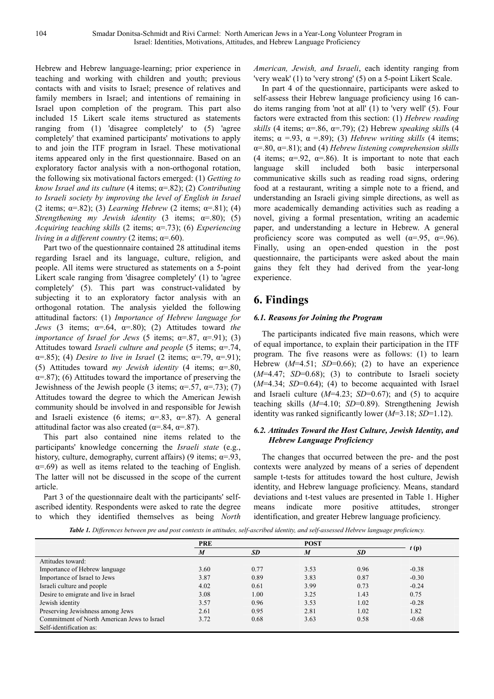Hebrew and Hebrew language-learning; prior experience in teaching and working with children and youth; previous contacts with and visits to Israel; presence of relatives and family members in Israel; and intentions of remaining in Israel upon completion of the program. This part also included 15 Likert scale items structured as statements ranging from (1) 'disagree completely' to (5) 'agree completely' that examined participants' motivations to apply to and join the ITF program in Israel. These motivational items appeared only in the first questionnaire. Based on an exploratory factor analysis with a non-orthogonal rotation, the following six motivational factors emerged: (1) *Getting to know Israel and its culture* (4 items; α=.82); (2) *Contributing to Israeli society by improving the level of English in Israel* (2 items; α=.82); (3) *Learning Hebrew* (2 items; α=.81); (4) *Strengthening my Jewish identity* (3 items; α=.80); (5) *Acquiring teaching skills* (2 items; α=.73); (6) *Experiencing living in a different country* (2 items;  $\alpha = .60$ ).

Part two of the questionnaire contained 28 attitudinal items regarding Israel and its language, culture, religion, and people. All items were structured as statements on a 5-point Likert scale ranging from 'disagree completely' (1) to 'agree completely' (5). This part was construct-validated by subjecting it to an exploratory factor analysis with an orthogonal rotation. The analysis yielded the following attitudinal factors: (1) *Importance of Hebrew language for Jews* (3 items;  $\alpha = .64$ ,  $\alpha = .80$ ); (2) Attitudes toward *the importance of Israel for Jews* (5 items;  $\alpha = .87$ ,  $\alpha = .91$ ); (3) Attitudes toward *Israeli culture and people* (5 items; α=.74, α=.85); (4) *Desire to live in Israel* (2 items; α=.79, α=.91); (5) Attitudes toward *my Jewish identity* (4 items; α=.80,  $\alpha$ =.87); (6) Attitudes toward the importance of preserving the Jewishness of the Jewish people (3 items;  $\alpha = .57$ ,  $\alpha = .73$ ); (7) Attitudes toward the degree to which the American Jewish community should be involved in and responsible for Jewish and Israeli existence (6 items;  $\alpha = .83$ ,  $\alpha = .87$ ). A general attitudinal factor was also created ( $\alpha$ =.84,  $\alpha$ =.87).

This part also contained nine items related to the participants' knowledge concerning the *Israeli state* (e.g., history, culture, demography, current affairs) (9 items;  $\alpha = 93$ ,  $\alpha$ =.69) as well as items related to the teaching of English. The latter will not be discussed in the scope of the current article.

Part 3 of the questionnaire dealt with the participants' selfascribed identity. Respondents were asked to rate the degree to which they identified themselves as being *North*  *American, Jewish, and Israeli*, each identity ranging from 'very weak' (1) to 'very strong' (5) on a 5-point Likert Scale.

In part 4 of the questionnaire, participants were asked to self-assess their Hebrew language proficiency using 16 cando items ranging from 'not at all' (1) to 'very well' (5). Four factors were extracted from this section: (1) *Hebrew reading skills* (4 items;  $\alpha = .86$ ,  $\alpha = .79$ ); (2) Hebrew *speaking skills* (4 items;  $\alpha = .93$ ,  $\alpha = .89$ ); (3) *Hebrew writing skills* (4 items; α=.80, α=.81); and (4) *Hebrew listening comprehension skills* (4 items;  $\alpha = .92$ ,  $\alpha = .86$ ). It is important to note that each language skill included both basic interpersonal language skill included both basic interpersonal communicative skills such as reading road signs, ordering food at a restaurant, writing a simple note to a friend, and understanding an Israeli giving simple directions, as well as more academically demanding activities such as reading a novel, giving a formal presentation, writing an academic paper, and understanding a lecture in Hebrew. A general proficiency score was computed as well ( $\alpha$ =.95,  $\alpha$ =.96). Finally, using an open-ended question in the post questionnaire, the participants were asked about the main gains they felt they had derived from the year-long experience.

## **6. Findings**

#### *6.1. Reasons for Joining the Program*

The participants indicated five main reasons, which were of equal importance, to explain their participation in the ITF program. The five reasons were as follows: (1) to learn Hebrew  $(M=4.51; SD=0.66)$ ; (2) to have an experience  $(M=4.47; SD=0.68);$  (3) to contribute to Israeli society  $(M=4.34; SD=0.64)$ ; (4) to become acquainted with Israel and Israeli culture (*M*=4.23; *SD*=0.67); and (5) to acquire teaching skills (*M*=4.10; *SD*=0.89). Strengthening Jewish identity was ranked significantly lower (*M*=3.18; *SD*=1.12).

#### *6.2. Attitudes Toward the Host Culture, Jewish Identity, and Hebrew Language Proficiency*

The changes that occurred between the pre- and the post contexts were analyzed by means of a series of dependent sample t-tests for attitudes toward the host culture, Jewish identity, and Hebrew language proficiency. Means, standard deviations and t-test values are presented in Table 1. Higher means indicate more positive attitudes, stronger identification, and greater Hebrew language proficiency.

*Table 1. Differences between pre and post contexts in attitudes, self-ascribed identity, and self-assessed Hebrew language proficiency.* 

|                                             | <b>PRE</b> |           | <b>POST</b> |           |         |
|---------------------------------------------|------------|-----------|-------------|-----------|---------|
|                                             | M          | <b>SD</b> | M           | <b>SD</b> | t(p)    |
| Attitudes toward:                           |            |           |             |           |         |
| Importance of Hebrew language               | 3.60       | 0.77      | 3.53        | 0.96      | $-0.38$ |
| Importance of Israel to Jews                | 3.87       | 0.89      | 3.83        | 0.87      | $-0.30$ |
| Israeli culture and people                  | 4.02       | 0.61      | 3.99        | 0.73      | $-0.24$ |
| Desire to emigrate and live in Israel       | 3.08       | 1.00      | 3.25        | 1.43      | 0.75    |
| Jewish identity                             | 3.57       | 0.96      | 3.53        | 1.02      | $-0.28$ |
| Preserving Jewishness among Jews            | 2.61       | 0.95      | 2.81        | 1.02      | 1.82    |
| Commitment of North American Jews to Israel | 3.72       | 0.68      | 3.63        | 0.58      | $-0.68$ |
| Self-identification as:                     |            |           |             |           |         |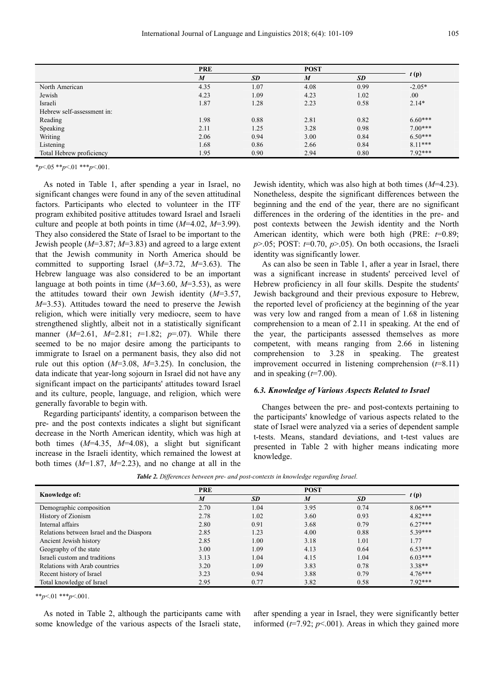|                            | <b>PRE</b>       |           | <b>POST</b>      |           |           |
|----------------------------|------------------|-----------|------------------|-----------|-----------|
|                            | $\boldsymbol{M}$ | <b>SD</b> | $\boldsymbol{M}$ | <b>SD</b> | t(p)      |
| North American             | 4.35             | 1.07      | 4.08             | 0.99      | $-2.05*$  |
| Jewish                     | 4.23             | 1.09      | 4.23             | 1.02      | .00       |
| Israeli                    | 1.87             | 1.28      | 2.23             | 0.58      | $2.14*$   |
| Hebrew self-assessment in: |                  |           |                  |           |           |
| Reading                    | 1.98             | 0.88      | 2.81             | 0.82      | $6.60***$ |
| Speaking                   | 2.11             | 1.25      | 3.28             | 0.98      | $7.00***$ |
| Writing                    | 2.06             | 0.94      | 3.00             | 0.84      | $6.50***$ |
| Listening                  | 1.68             | 0.86      | 2.66             | 0.84      | $8.11***$ |
| Total Hebrew proficiency   | 1.95             | 0.90      | 2.94             | 0.80      | $7.92***$ |

\**p*<.05 \*\**p*<.01 \*\*\**p*<.001.

As noted in Table 1, after spending a year in Israel, no significant changes were found in any of the seven attitudinal factors. Participants who elected to volunteer in the ITF program exhibited positive attitudes toward Israel and Israeli culture and people at both points in time (*M*=4.02, *M*=3.99). They also considered the State of Israel to be important to the Jewish people (*M*=3.87; *M*=3.83) and agreed to a large extent that the Jewish community in North America should be committed to supporting Israel (*M*=3.72, *M*=3.63). The Hebrew language was also considered to be an important language at both points in time (*M*=3.60, *M*=3.53), as were the attitudes toward their own Jewish identity (*M*=3.57, *M*=3.53). Attitudes toward the need to preserve the Jewish religion, which were initially very mediocre, seem to have strengthened slightly, albeit not in a statistically significant manner (*M*=2.61, *M*=2.81; *t*=1.82; *p*=.07). While there seemed to be no major desire among the participants to immigrate to Israel on a permanent basis, they also did not rule out this option (*M*=3.08, *M*=3.25). In conclusion, the data indicate that year-long sojourn in Israel did not have any significant impact on the participants' attitudes toward Israel and its culture, people, language, and religion, which were generally favorable to begin with.

Regarding participants' identity, a comparison between the pre- and the post contexts indicates a slight but significant decrease in the North American identity, which was high at both times (*M*=4.35, *M*=4.08), a slight but significant increase in the Israeli identity, which remained the lowest at both times (*M*=1.87, *M*=2.23), and no change at all in the

Jewish identity, which was also high at both times (*M*=4.23). Nonetheless, despite the significant differences between the beginning and the end of the year, there are no significant differences in the ordering of the identities in the pre- and post contexts between the Jewish identity and the North American identity, which were both high (PRE:  $t=0.89$ ;  $p > 0.05$ ; POST:  $t = 0.70$ ,  $p > 0.05$ ). On both occasions, the Israeli identity was significantly lower.

As can also be seen in Table 1, after a year in Israel, there was a significant increase in students' perceived level of Hebrew proficiency in all four skills. Despite the students' Jewish background and their previous exposure to Hebrew, the reported level of proficiency at the beginning of the year was very low and ranged from a mean of 1.68 in listening comprehension to a mean of 2.11 in speaking. At the end of the year, the participants assessed themselves as more competent, with means ranging from 2.66 in listening comprehension to 3.28 in speaking. The greatest improvement occurred in listening comprehension (*t*=8.11) and in speaking (*t*=7.00).

#### *6.3. Knowledge of Various Aspects Related to Israel*

Changes between the pre- and post-contexts pertaining to the participants' knowledge of various aspects related to the state of Israel were analyzed via a series of dependent sample t-tests. Means, standard deviations, and t-test values are presented in Table 2 with higher means indicating more knowledge.

|                                           | <b>PRE</b>       |           | <b>POST</b> |           |           |  |
|-------------------------------------------|------------------|-----------|-------------|-----------|-----------|--|
| Knowledge of:                             | $\boldsymbol{M}$ | <b>SD</b> | M           | <b>SD</b> | t(p)      |  |
| Demographic composition                   | 2.70             | 1.04      | 3.95        | 0.74      | $8.06***$ |  |
| History of Zionism                        | 2.78             | 1.02      | 3.60        | 0.93      | $4.82***$ |  |
| Internal affairs                          | 2.80             | 0.91      | 3.68        | 0.79      | $6.27***$ |  |
| Relations between Israel and the Diaspora | 2.85             | 1.23      | 4.00        | 0.88      | $5.39***$ |  |
| Ancient Jewish history                    | 2.85             | 1.00      | 3.18        | 1.01      | 1.77      |  |
| Geography of the state                    | 3.00             | 1.09      | 4.13        | 0.64      | $6.53***$ |  |
| Israeli custom and traditions             | 3.13             | 1.04      | 4.15        | 1.04      | $6.03***$ |  |
| Relations with Arab countries             | 3.20             | 1.09      | 3.83        | 0.78      | $3.38**$  |  |
| Recent history of Israel                  | 3.23             | 0.94      | 3.88        | 0.79      | $4.76***$ |  |
| Total knowledge of Israel                 | 2.95             | 0.77      | 3.82        | 0.58      | $7.92***$ |  |

*Table 2. Differences between pre- and post-contexts in knowledge regarding Israel.* 

\*\**p*<.01 \*\*\**p*<.001.

As noted in Table 2, although the participants came with some knowledge of the various aspects of the Israeli state, after spending a year in Israel, they were significantly better informed  $(t=7.92; p<0.01)$ . Areas in which they gained more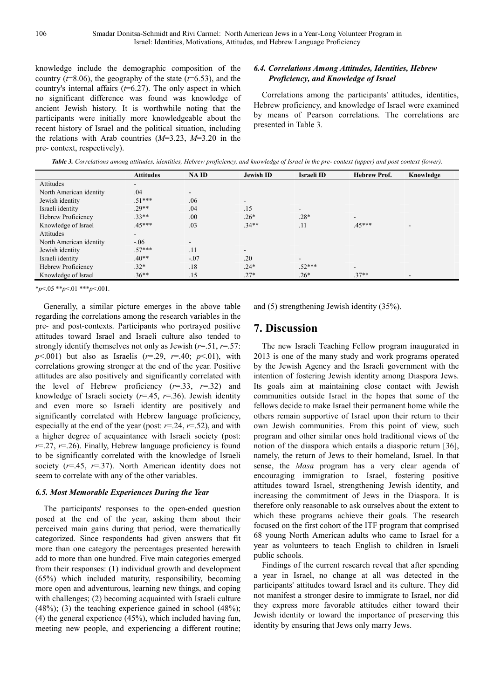knowledge include the demographic composition of the country  $(t=8.06)$ , the geography of the state  $(t=6.53)$ , and the country's internal affairs (*t*=6.27). The only aspect in which no significant difference was found was knowledge of ancient Jewish history. It is worthwhile noting that the participants were initially more knowledgeable about the recent history of Israel and the political situation, including the relations with Arab countries (*M*=3.23, *M*=3.20 in the pre- context, respectively).

#### *6.4. Correlations Among Attitudes, Identities, Hebrew Proficiency, and Knowledge of Israel*

Correlations among the participants' attitudes, identities, Hebrew proficiency, and knowledge of Israel were examined by means of Pearson correlations. The correlations are presented in Table 3.

*Table 3. Correlations among attitudes, identities, Hebrew proficiency, and knowledge of Israel in the pre- context (upper) and post context (lower).* 

|                         | <b>Attitudes</b>         | NA ID                    | <b>Jewish ID</b>         | <b>Israeli ID</b> | <b>Hebrew Prof.</b>      | Knowledge |
|-------------------------|--------------------------|--------------------------|--------------------------|-------------------|--------------------------|-----------|
| Attitudes               | $\overline{\phantom{a}}$ |                          |                          |                   |                          |           |
| North American identity | .04                      | $\overline{\phantom{0}}$ |                          |                   |                          |           |
| Jewish identity         | $.51***$                 | .06                      | $\overline{\phantom{0}}$ |                   |                          |           |
| Israeli identity        | $.29**$                  | .04                      | .15                      | $\blacksquare$    |                          |           |
| Hebrew Proficiency      | $.33**$                  | .00                      | $.26*$                   | $.28*$            | $\overline{\phantom{0}}$ |           |
| Knowledge of Israel     | $.45***$                 | .03                      | $.34**$                  | .11               | $.45***$                 |           |
| Attitudes               | $\overline{\phantom{a}}$ |                          |                          |                   |                          |           |
| North American identity | $-.06$                   | ۰.                       |                          |                   |                          |           |
| Jewish identity         | $.57***$                 | .11                      | $\overline{\phantom{a}}$ |                   |                          |           |
| Israeli identity        | $.40**$                  | $-.07$                   | .20                      | $\blacksquare$    |                          |           |
| Hebrew Proficiency      | $.32*$                   | .18                      | $.24*$                   | $.52***$          | $\overline{\phantom{0}}$ |           |
| Knowledge of Israel     | $.36**$                  | .15                      | $.27*$                   | $.26*$            | $.37**$                  |           |

\**p*<.05 \*\**p*<.01 \*\*\**p*<.001.

Generally, a similar picture emerges in the above table regarding the correlations among the research variables in the pre- and post-contexts. Participants who portrayed positive attitudes toward Israel and Israeli culture also tended to strongly identify themselves not only as Jewish (*r*=.51, *r*=.57:  $p$ <.001) but also as Israelis ( $r$ =.29,  $r$ =.40;  $p$ <.01), with correlations growing stronger at the end of the year. Positive attitudes are also positively and significantly correlated with the level of Hebrew proficiency (*r*=.33, *r*=.32) and knowledge of Israeli society  $(r=45, r=36)$ . Jewish identity and even more so Israeli identity are positively and significantly correlated with Hebrew language proficiency, especially at the end of the year (post:  $r=0.24$ ,  $r=0.52$ ), and with a higher degree of acquaintance with Israeli society (post: *r*=.27, *r*=.26). Finally, Hebrew language proficiency is found to be significantly correlated with the knowledge of Israeli society (*r*=.45, *r*=.37). North American identity does not seem to correlate with any of the other variables.

#### *6.5. Most Memorable Experiences During the Year*

The participants' responses to the open-ended question posed at the end of the year, asking them about their perceived main gains during that period, were thematically categorized. Since respondents had given answers that fit more than one category the percentages presented herewith add to more than one hundred. Five main categories emerged from their responses: (1) individual growth and development (65%) which included maturity, responsibility, becoming more open and adventurous, learning new things, and coping with challenges; (2) becoming acquainted with Israeli culture  $(48\%)$ ; (3) the teaching experience gained in school  $(48\%)$ ; (4) the general experience (45%), which included having fun, meeting new people, and experiencing a different routine;

and (5) strengthening Jewish identity (35%).

## **7. Discussion**

The new Israeli Teaching Fellow program inaugurated in 2013 is one of the many study and work programs operated by the Jewish Agency and the Israeli government with the intention of fostering Jewish identity among Diaspora Jews. Its goals aim at maintaining close contact with Jewish communities outside Israel in the hopes that some of the fellows decide to make Israel their permanent home while the others remain supportive of Israel upon their return to their own Jewish communities. From this point of view, such program and other similar ones hold traditional views of the notion of the diaspora which entails a diasporic return [36], namely, the return of Jews to their homeland, Israel. In that sense, the *Masa* program has a very clear agenda of encouraging immigration to Israel, fostering positive attitudes toward Israel, strengthening Jewish identity, and increasing the commitment of Jews in the Diaspora. It is therefore only reasonable to ask ourselves about the extent to which these programs achieve their goals. The research focused on the first cohort of the ITF program that comprised 68 young North American adults who came to Israel for a year as volunteers to teach English to children in Israeli public schools.

Findings of the current research reveal that after spending a year in Israel, no change at all was detected in the participants' attitudes toward Israel and its culture. They did not manifest a stronger desire to immigrate to Israel, nor did they express more favorable attitudes either toward their Jewish identity or toward the importance of preserving this identity by ensuring that Jews only marry Jews.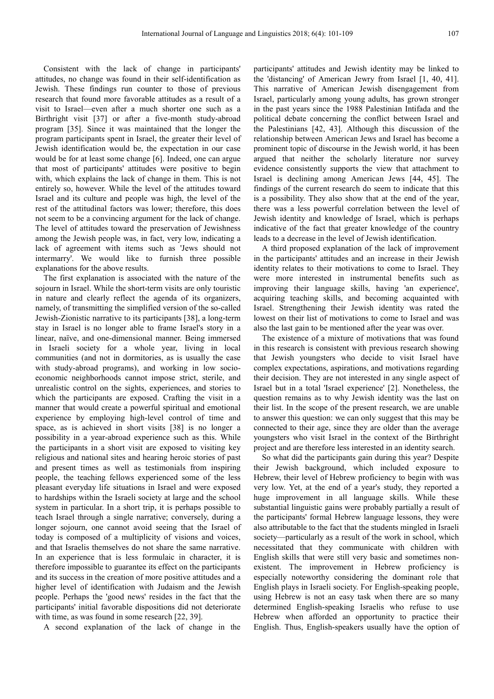Consistent with the lack of change in participants' attitudes, no change was found in their self-identification as Jewish. These findings run counter to those of previous research that found more favorable attitudes as a result of a visit to Israel—even after a much shorter one such as a Birthright visit [37] or after a five-month study-abroad program [35]. Since it was maintained that the longer the program participants spent in Israel, the greater their level of Jewish identification would be, the expectation in our case would be for at least some change [6]. Indeed, one can argue that most of participants' attitudes were positive to begin with, which explains the lack of change in them. This is not entirely so, however. While the level of the attitudes toward Israel and its culture and people was high, the level of the rest of the attitudinal factors was lower; therefore, this does not seem to be a convincing argument for the lack of change. The level of attitudes toward the preservation of Jewishness among the Jewish people was, in fact, very low, indicating a lack of agreement with items such as 'Jews should not intermarry'. We would like to furnish three possible explanations for the above results.

The first explanation is associated with the nature of the sojourn in Israel. While the short-term visits are only touristic in nature and clearly reflect the agenda of its organizers, namely, of transmitting the simplified version of the so-called Jewish-Zionistic narrative to its participants [38], a long-term stay in Israel is no longer able to frame Israel's story in a linear, naïve, and one-dimensional manner. Being immersed in Israeli society for a whole year, living in local communities (and not in dormitories, as is usually the case with study-abroad programs), and working in low socioeconomic neighborhoods cannot impose strict, sterile, and unrealistic control on the sights, experiences, and stories to which the participants are exposed. Crafting the visit in a manner that would create a powerful spiritual and emotional experience by employing high-level control of time and space, as is achieved in short visits [38] is no longer a possibility in a year-abroad experience such as this. While the participants in a short visit are exposed to visiting key religious and national sites and hearing heroic stories of past and present times as well as testimonials from inspiring people, the teaching fellows experienced some of the less pleasant everyday life situations in Israel and were exposed to hardships within the Israeli society at large and the school system in particular. In a short trip, it is perhaps possible to teach Israel through a single narrative; conversely, during a longer sojourn, one cannot avoid seeing that the Israel of today is composed of a multiplicity of visions and voices, and that Israelis themselves do not share the same narrative. In an experience that is less formulaic in character, it is therefore impossible to guarantee its effect on the participants and its success in the creation of more positive attitudes and a higher level of identification with Judaism and the Jewish people. Perhaps the 'good news' resides in the fact that the participants' initial favorable dispositions did not deteriorate with time, as was found in some research [22, 39].

A second explanation of the lack of change in the

participants' attitudes and Jewish identity may be linked to the 'distancing' of American Jewry from Israel [1, 40, 41]. This narrative of American Jewish disengagement from Israel, particularly among young adults, has grown stronger in the past years since the 1988 Palestinian Intifada and the political debate concerning the conflict between Israel and the Palestinians [42, 43]. Although this discussion of the relationship between American Jews and Israel has become a prominent topic of discourse in the Jewish world, it has been argued that neither the scholarly literature nor survey evidence consistently supports the view that attachment to Israel is declining among American Jews [44, 45]. The findings of the current research do seem to indicate that this is a possibility. They also show that at the end of the year, there was a less powerful correlation between the level of Jewish identity and knowledge of Israel, which is perhaps indicative of the fact that greater knowledge of the country leads to a decrease in the level of Jewish identification.

A third proposed explanation of the lack of improvement in the participants' attitudes and an increase in their Jewish identity relates to their motivations to come to Israel. They were more interested in instrumental benefits such as improving their language skills, having 'an experience', acquiring teaching skills, and becoming acquainted with Israel. Strengthening their Jewish identity was rated the lowest on their list of motivations to come to Israel and was also the last gain to be mentioned after the year was over.

The existence of a mixture of motivations that was found in this research is consistent with previous research showing that Jewish youngsters who decide to visit Israel have complex expectations, aspirations, and motivations regarding their decision. They are not interested in any single aspect of Israel but in a total 'Israel experience' [2]. Nonetheless, the question remains as to why Jewish identity was the last on their list. In the scope of the present research, we are unable to answer this question: we can only suggest that this may be connected to their age, since they are older than the average youngsters who visit Israel in the context of the Birthright project and are therefore less interested in an identity search.

So what did the participants gain during this year? Despite their Jewish background, which included exposure to Hebrew, their level of Hebrew proficiency to begin with was very low. Yet, at the end of a year's study, they reported a huge improvement in all language skills. While these substantial linguistic gains were probably partially a result of the participants' formal Hebrew language lessons, they were also attributable to the fact that the students mingled in Israeli society—particularly as a result of the work in school, which necessitated that they communicate with children with English skills that were still very basic and sometimes nonexistent. The improvement in Hebrew proficiency is especially noteworthy considering the dominant role that English plays in Israeli society. For English-speaking people, using Hebrew is not an easy task when there are so many determined English-speaking Israelis who refuse to use Hebrew when afforded an opportunity to practice their English. Thus, English-speakers usually have the option of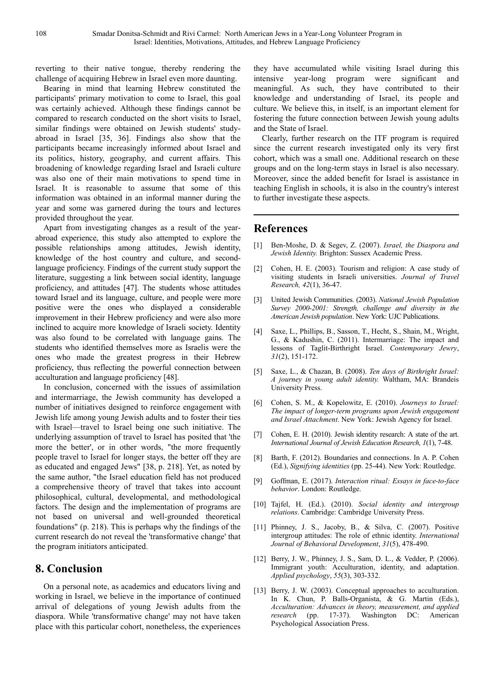reverting to their native tongue, thereby rendering the challenge of acquiring Hebrew in Israel even more daunting.

Bearing in mind that learning Hebrew constituted the participants' primary motivation to come to Israel, this goal was certainly achieved. Although these findings cannot be compared to research conducted on the short visits to Israel, similar findings were obtained on Jewish students' studyabroad in Israel [35, 36]. Findings also show that the participants became increasingly informed about Israel and its politics, history, geography, and current affairs. This broadening of knowledge regarding Israel and Israeli culture was also one of their main motivations to spend time in Israel. It is reasonable to assume that some of this information was obtained in an informal manner during the year and some was garnered during the tours and lectures provided throughout the year.

Apart from investigating changes as a result of the yearabroad experience, this study also attempted to explore the possible relationships among attitudes, Jewish identity, knowledge of the host country and culture, and secondlanguage proficiency. Findings of the current study support the literature, suggesting a link between social identity, language proficiency, and attitudes [47]. The students whose attitudes toward Israel and its language, culture, and people were more positive were the ones who displayed a considerable improvement in their Hebrew proficiency and were also more inclined to acquire more knowledge of Israeli society. Identity was also found to be correlated with language gains. The students who identified themselves more as Israelis were the ones who made the greatest progress in their Hebrew proficiency, thus reflecting the powerful connection between acculturation and language proficiency [48].

In conclusion, concerned with the issues of assimilation and intermarriage, the Jewish community has developed a number of initiatives designed to reinforce engagement with Jewish life among young Jewish adults and to foster their ties with Israel—travel to Israel being one such initiative. The underlying assumption of travel to Israel has posited that 'the more the better', or in other words, "the more frequently people travel to Israel for longer stays, the better off they are as educated and engaged Jews" [38, p. 218]. Yet, as noted by the same author, "the Israel education field has not produced a comprehensive theory of travel that takes into account philosophical, cultural, developmental, and methodological factors. The design and the implementation of programs are not based on universal and well-grounded theoretical foundations" (p. 218). This is perhaps why the findings of the current research do not reveal the 'transformative change' that the program initiators anticipated.

#### **8. Conclusion**

On a personal note, as academics and educators living and working in Israel, we believe in the importance of continued arrival of delegations of young Jewish adults from the diaspora. While 'transformative change' may not have taken place with this particular cohort, nonetheless, the experiences

they have accumulated while visiting Israel during this intensive year-long program were significant and meaningful. As such, they have contributed to their knowledge and understanding of Israel, its people and culture. We believe this, in itself, is an important element for fostering the future connection between Jewish young adults and the State of Israel.

Clearly, further research on the ITF program is required since the current research investigated only its very first cohort, which was a small one. Additional research on these groups and on the long-term stays in Israel is also necessary. Moreover, since the added benefit for Israel is assistance in teaching English in schools, it is also in the country's interest to further investigate these aspects.

#### **References**

- [1] Ben-Moshe, D. & Segev, Z. (2007). *Israel, the Diaspora and Jewish Identity.* Brighton: Sussex Academic Press.
- [2] Cohen, H. E. (2003). Tourism and religion: A case study of visiting students in Israeli universities. *Journal of Travel Research, 42*(1), 36-47.
- [3] United Jewish Communities. (2003). *National Jewish Population Survey 2000-2001: Strength, challenge and diversity in the American Jewish population*. New York: UJC Publications.
- [4] Saxe, L., Phillips, B., Sasson, T., Hecht, S., Shain, M., Wright, G., & Kadushin, C. (2011). Intermarriage: The impact and lessons of Taglit-Birthright Israel. *Contemporary Jewry*, *31*(2), 151-172.
- [5] Saxe, L., & Chazan, B. (2008). *Ten days of Birthright Israel: A journey in young adult identity.* Waltham, MA: Brandeis University Press.
- [6] Cohen, S. M., & Kopelowitz, E. (2010). *Journeys to Israel: The impact of longer-term programs upon Jewish engagement and Israel Attachment*. New York: Jewish Agency for Israel.
- [7] Cohen, E. H. (2010). Jewish identity research: A state of the art. *International Journal of Jewish Education Research, 1*(1), 7-48.
- [8] Barth, F. (2012). Boundaries and connections. In A. P. Cohen (Ed.), *Signifying identities* (pp. 25-44). New York: Routledge.
- [9] Goffman, E. (2017). *Interaction ritual: Essays in face-to-face behavior*. London: Routledge.
- [10] Tajfel, H. (Ed.). (2010). *Social identity and intergroup relations*. Cambridge: Cambridge University Press.
- [11] Phinney, J. S., Jacoby, B., & Silva, C. (2007). Positive intergroup attitudes: The role of ethnic identity. *International Journal of Behavioral Development*, *31*(5), 478-490.
- [12] Berry, J. W., Phinney, J. S., Sam, D. L., & Vedder, P. (2006). Immigrant youth: Acculturation, identity, and adaptation. *Applied psychology*, *55*(3), 303-332.
- [13] Berry, J. W. (2003). Conceptual approaches to acculturation. In K. Chun, P. Balls-Organista, & G. Martin (Eds.), *Acculturation: Advances in theory, measurement, and applied research* (pp. 17-37). Washington DC: American Psychological Association Press.